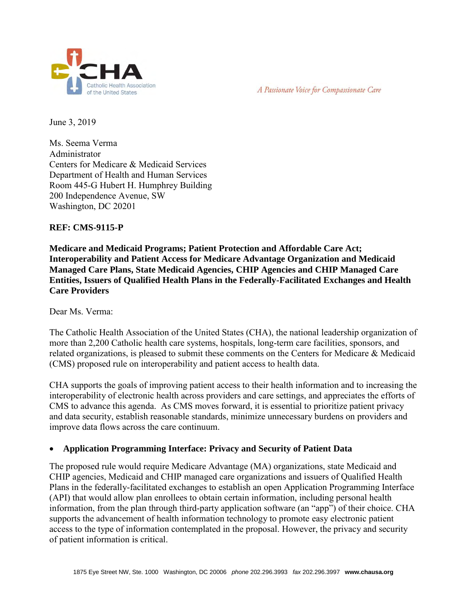

A Passionate Voice for Compassionate Care

June 3, 2019

Ms. Seema Verma Administrator Centers for Medicare & Medicaid Services Department of Health and Human Services Room 445-G Hubert H. Humphrey Building 200 Independence Avenue, SW Washington, DC 20201

## **REF: CMS-9115-P**

**Medicare and Medicaid Programs; Patient Protection and Affordable Care Act; Interoperability and Patient Access for Medicare Advantage Organization and Medicaid Managed Care Plans, State Medicaid Agencies, CHIP Agencies and CHIP Managed Care Entities, Issuers of Qualified Health Plans in the Federally-Facilitated Exchanges and Health Care Providers**

Dear Ms. Verma:

The Catholic Health Association of the United States (CHA), the national leadership organization of more than 2,200 Catholic health care systems, hospitals, long-term care facilities, sponsors, and related organizations, is pleased to submit these comments on the Centers for Medicare & Medicaid (CMS) proposed rule on interoperability and patient access to health data.

CHA supports the goals of improving patient access to their health information and to increasing the interoperability of electronic health across providers and care settings, and appreciates the efforts of CMS to advance this agenda. As CMS moves forward, it is essential to prioritize patient privacy and data security, establish reasonable standards, minimize unnecessary burdens on providers and improve data flows across the care continuum.

## **Application Programming Interface: Privacy and Security of Patient Data**

The proposed rule would require Medicare Advantage (MA) organizations, state Medicaid and CHIP agencies, Medicaid and CHIP managed care organizations and issuers of Qualified Health Plans in the federally-facilitated exchanges to establish an open Application Programming Interface (API) that would allow plan enrollees to obtain certain information, including personal health information, from the plan through third-party application software (an "app") of their choice. CHA supports the advancement of health information technology to promote easy electronic patient access to the type of information contemplated in the proposal. However, the privacy and security of patient information is critical.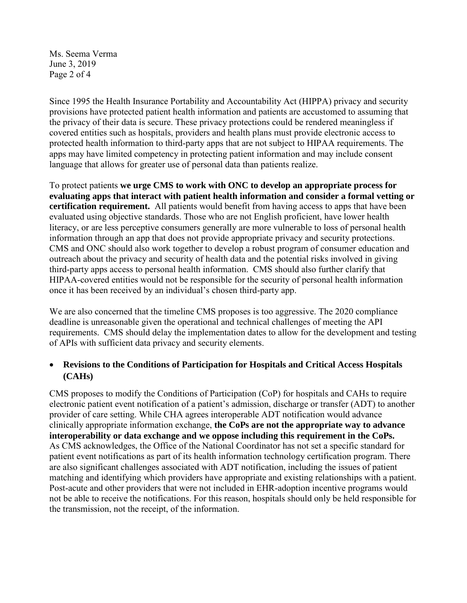Ms. Seema Verma June 3, 2019 Page 2 of 4

Since 1995 the Health Insurance Portability and Accountability Act (HIPPA) privacy and security provisions have protected patient health information and patients are accustomed to assuming that the privacy of their data is secure. These privacy protections could be rendered meaningless if covered entities such as hospitals, providers and health plans must provide electronic access to protected health information to third-party apps that are not subject to HIPAA requirements. The apps may have limited competency in protecting patient information and may include consent language that allows for greater use of personal data than patients realize.

To protect patients **we urge CMS to work with ONC to develop an appropriate process for evaluating apps that interact with patient health information and consider a formal vetting or certification requirement.** All patients would benefit from having access to apps that have been evaluated using objective standards. Those who are not English proficient, have lower health literacy, or are less perceptive consumers generally are more vulnerable to loss of personal health information through an app that does not provide appropriate privacy and security protections. CMS and ONC should also work together to develop a robust program of consumer education and outreach about the privacy and security of health data and the potential risks involved in giving third-party apps access to personal health information. CMS should also further clarify that HIPAA-covered entities would not be responsible for the security of personal health information once it has been received by an individual's chosen third-party app.

We are also concerned that the timeline CMS proposes is too aggressive. The 2020 compliance deadline is unreasonable given the operational and technical challenges of meeting the API requirements. CMS should delay the implementation dates to allow for the development and testing of APIs with sufficient data privacy and security elements.

## **Revisions to the Conditions of Participation for Hospitals and Critical Access Hospitals (CAHs)**

CMS proposes to modify the Conditions of Participation (CoP) for hospitals and CAHs to require electronic patient event notification of a patient's admission, discharge or transfer (ADT) to another provider of care setting. While CHA agrees interoperable ADT notification would advance clinically appropriate information exchange, **the CoPs are not the appropriate way to advance interoperability or data exchange and we oppose including this requirement in the CoPs.** As CMS acknowledges, the Office of the National Coordinator has not set a specific standard for patient event notifications as part of its health information technology certification program. There are also significant challenges associated with ADT notification, including the issues of patient matching and identifying which providers have appropriate and existing relationships with a patient. Post-acute and other providers that were not included in EHR-adoption incentive programs would not be able to receive the notifications. For this reason, hospitals should only be held responsible for the transmission, not the receipt, of the information.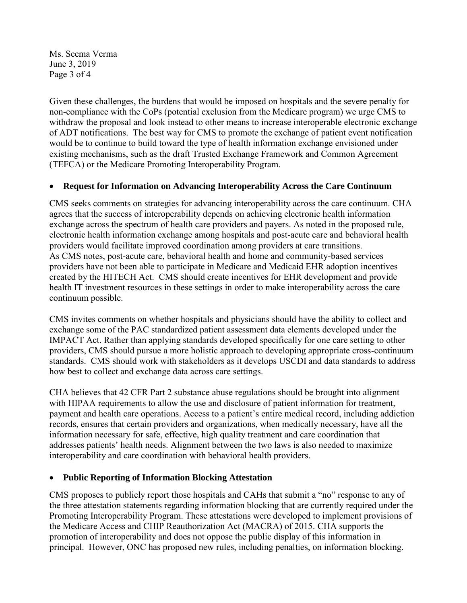Ms. Seema Verma June 3, 2019 Page 3 of 4

Given these challenges, the burdens that would be imposed on hospitals and the severe penalty for non-compliance with the CoPs (potential exclusion from the Medicare program) we urge CMS to withdraw the proposal and look instead to other means to increase interoperable electronic exchange of ADT notifications. The best way for CMS to promote the exchange of patient event notification would be to continue to build toward the type of health information exchange envisioned under existing mechanisms, such as the draft Trusted Exchange Framework and Common Agreement (TEFCA) or the Medicare Promoting Interoperability Program.

## **Request for Information on Advancing Interoperability Across the Care Continuum**

CMS seeks comments on strategies for advancing interoperability across the care continuum. CHA agrees that the success of interoperability depends on achieving electronic health information exchange across the spectrum of health care providers and payers. As noted in the proposed rule, electronic health information exchange among hospitals and post-acute care and behavioral health providers would facilitate improved coordination among providers at care transitions. As CMS notes, post-acute care, behavioral health and home and community-based services providers have not been able to participate in Medicare and Medicaid EHR adoption incentives created by the HITECH Act. CMS should create incentives for EHR development and provide health IT investment resources in these settings in order to make interoperability across the care continuum possible.

CMS invites comments on whether hospitals and physicians should have the ability to collect and exchange some of the PAC standardized patient assessment data elements developed under the IMPACT Act. Rather than applying standards developed specifically for one care setting to other providers, CMS should pursue a more holistic approach to developing appropriate cross-continuum standards. CMS should work with stakeholders as it develops USCDI and data standards to address how best to collect and exchange data across care settings.

CHA believes that 42 CFR Part 2 substance abuse regulations should be brought into alignment with HIPAA requirements to allow the use and disclosure of patient information for treatment, payment and health care operations. Access to a patient's entire medical record, including addiction records, ensures that certain providers and organizations, when medically necessary, have all the information necessary for safe, effective, high quality treatment and care coordination that addresses patients' health needs. Alignment between the two laws is also needed to maximize interoperability and care coordination with behavioral health providers.

# **Public Reporting of Information Blocking Attestation**

CMS proposes to publicly report those hospitals and CAHs that submit a "no" response to any of the three attestation statements regarding information blocking that are currently required under the Promoting Interoperability Program. These attestations were developed to implement provisions of the Medicare Access and CHIP Reauthorization Act (MACRA) of 2015. CHA supports the promotion of interoperability and does not oppose the public display of this information in principal. However, ONC has proposed new rules, including penalties, on information blocking.